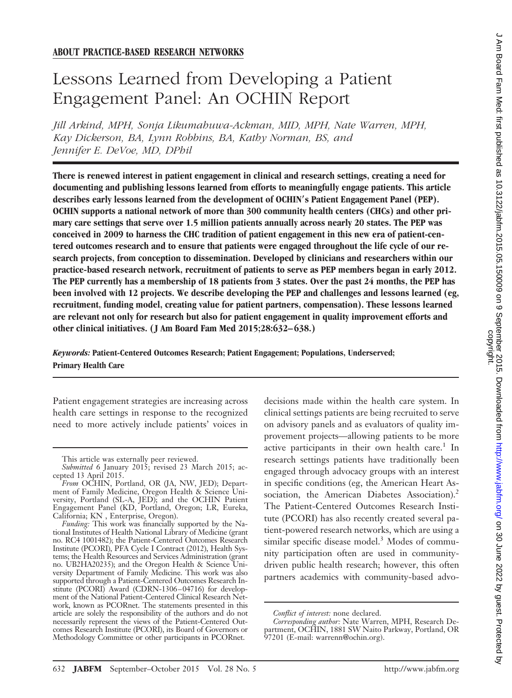# Lessons Learned from Developing a Patient Engagement Panel: An OCHIN Report

*Jill Arkind, MPH, Sonja Likumahuwa-Ackman, MID, MPH, Nate Warren, MPH, Kay Dickerson, BA, Lynn Robbins, BA, Kathy Norman, BS, and Jennifer E. DeVoe, MD, DPhil*

**There is renewed interest in patient engagement in clinical and research settings, creating a need for documenting and publishing lessons learned from efforts to meaningfully engage patients. This article describes early lessons learned from the development of OCHIN**-**s Patient Engagement Panel (PEP). OCHIN supports a national network of more than 300 community health centers (CHCs) and other primary care settings that serve over 1.5 million patients annually across nearly 20 states. The PEP was conceived in 2009 to harness the CHC tradition of patient engagement in this new era of patient-centered outcomes research and to ensure that patients were engaged throughout the life cycle of our research projects, from conception to dissemination. Developed by clinicians and researchers within our practice-based research network, recruitment of patients to serve as PEP members began in early 2012. The PEP currently has a membership of 18 patients from 3 states. Over the past 24 months, the PEP has been involved with 12 projects. We describe developing the PEP and challenges and lessons learned (eg, recruitment, funding model, creating value for patient partners, compensation). These lessons learned are relevant not only for research but also for patient engagement in quality improvement efforts and other clinical initiatives. ( J Am Board Fam Med 2015;28:632– 638.)**

*Keywords:* **Patient-Centered Outcomes Research; Patient Engagement; Populations, Underserved; Primary Health Care**

Patient engagement strategies are increasing across health care settings in response to the recognized need to more actively include patients' voices in

*Funding:* This work was financially supported by the National Institutes of Health National Library of Medicine (grant no. RC4 1001482); the Patient-Centered Outcomes Research Institute (PCORI), PFA Cycle I Contract (2012), Health Systems; the Health Resources and Services Administration (grant no. UB2HA20235); and the Oregon Health & Science University Department of Family Medicine. This work was also supported through a Patient-Centered Outcomes Research Institute (PCORI) Award (CDRN-1306-04716) for development of the National Patient-Centered Clinical Research Network, known as PCORnet. The statements presented in this article are solely the responsibility of the authors and do not necessarily represent the views of the Patient-Centered Outcomes Research Institute (PCORI), its Board of Governors or Methodology Committee or other participants in PCORnet.

decisions made within the health care system. In clinical settings patients are being recruited to serve on advisory panels and as evaluators of quality improvement projects—allowing patients to be more active participants in their own health care.<sup>1</sup> In research settings patients have traditionally been engaged through advocacy groups with an interest in specific conditions (eg, the American Heart Association, the American Diabetes Association).<sup>2</sup> The Patient-Centered Outcomes Research Institute (PCORI) has also recently created several patient-powered research networks, which are using a similar specific disease model.<sup>3</sup> Modes of community participation often are used in communitydriven public health research; however, this often partners academics with community-based advo-

This article was externally peer reviewed.

*Submitted* 6 January 2015; revised 23 March 2015; accepted 13 April 2015.

*From* OCHIN, Portland, OR (JA, NW, JED); Department of Family Medicine, Oregon Health & Science University, Portland (SL-A, JED); and the OCHIN Patient Engagement Panel (KD, Portland, Oregon; LR, Eureka, California; KN , Enterprise, Oregon).

*Conflict of interest:* none declared.

*Corresponding author:* Nate Warren, MPH, Research Department, OCHIN, 1881 SW Naito Parkway, Portland, OR 97201 (E-mail: [warrenn@ochin.org](mailto:warrenn@ochin.org)).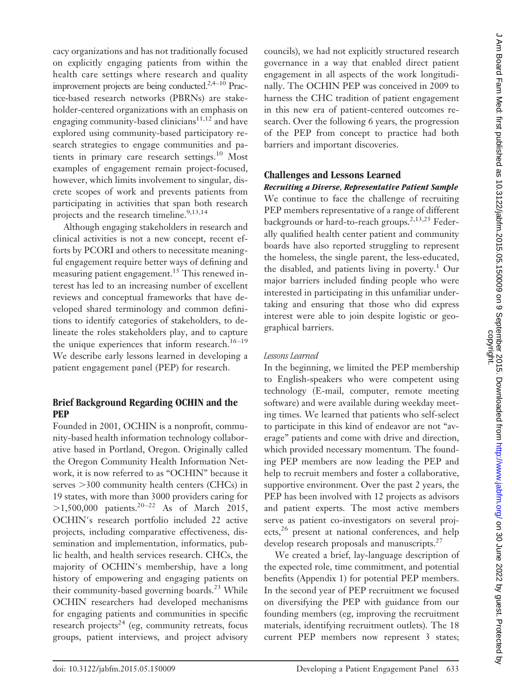cacy organizations and has not traditionally focused on explicitly engaging patients from within the health care settings where research and quality improvement projects are being conducted.<sup>2,4-10</sup> Practice-based research networks (PBRNs) are stakeholder-centered organizations with an emphasis on engaging community-based clinicians<sup>11,12</sup> and have explored using community-based participatory research strategies to engage communities and patients in primary care research settings.<sup>10</sup> Most examples of engagement remain project-focused, however, which limits involvement to singular, discrete scopes of work and prevents patients from participating in activities that span both research projects and the research timeline.<sup>9,13,14</sup>

Although engaging stakeholders in research and clinical activities is not a new concept, recent efforts by PCORI and others to necessitate meaningful engagement require better ways of defining and measuring patient engagement.<sup>15</sup> This renewed interest has led to an increasing number of excellent reviews and conceptual frameworks that have developed shared terminology and common definitions to identify categories of stakeholders, to delineate the roles stakeholders play, and to capture the unique experiences that inform research.<sup>16-19</sup> We describe early lessons learned in developing a patient engagement panel (PEP) for research.

# **Brief Background Regarding OCHIN and the PEP**

Founded in 2001, OCHIN is a nonprofit, community-based health information technology collaborative based in Portland, Oregon. Originally called the Oregon Community Health Information Network, it is now referred to as "OCHIN" because it serves  $>300$  community health centers (CHCs) in 19 states, with more than 3000 providers caring for  $>1,500,000$  patients.<sup>20-22</sup> As of March 2015, OCHIN's research portfolio included 22 active projects, including comparative effectiveness, dissemination and implementation, informatics, public health, and health services research. CHCs, the majority of OCHIN's membership, have a long history of empowering and engaging patients on their community-based governing boards.<sup>23</sup> While OCHIN researchers had developed mechanisms for engaging patients and communities in specific research projects<sup>24</sup> (eg, community retreats, focus groups, patient interviews, and project advisory councils), we had not explicitly structured research governance in a way that enabled direct patient engagement in all aspects of the work longitudinally. The OCHIN PEP was conceived in 2009 to harness the CHC tradition of patient engagement in this new era of patient-centered outcomes research. Over the following 6 years, the progression of the PEP from concept to practice had both barriers and important discoveries.

# **Challenges and Lessons Learned**

*Recruiting a Diverse, Representative Patient Sample* We continue to face the challenge of recruiting PEP members representative of a range of different backgrounds or hard-to-reach groups.<sup>2,13,25</sup> Federally qualified health center patient and community boards have also reported struggling to represent the homeless, the single parent, the less-educated, the disabled, and patients living in poverty.<sup>1</sup> Our major barriers included finding people who were interested in participating in this unfamiliar undertaking and ensuring that those who did express interest were able to join despite logistic or geographical barriers.

# *Lessons Learned*

In the beginning, we limited the PEP membership to English-speakers who were competent using technology (E-mail, computer, remote meeting software) and were available during weekday meeting times. We learned that patients who self-select to participate in this kind of endeavor are not "average" patients and come with drive and direction, which provided necessary momentum. The founding PEP members are now leading the PEP and help to recruit members and foster a collaborative, supportive environment. Over the past 2 years, the PEP has been involved with 12 projects as advisors and patient experts. The most active members serve as patient co-investigators on several projects,<sup>26</sup> present at national conferences, and help develop research proposals and manuscripts.<sup>27</sup>

We created a brief, lay-language description of the expected role, time commitment, and potential benefits (Appendix 1) for potential PEP members. In the second year of PEP recruitment we focused on diversifying the PEP with guidance from our founding members (eg, improving the recruitment materials, identifying recruitment outlets). The 18 current PEP members now represent 3 states;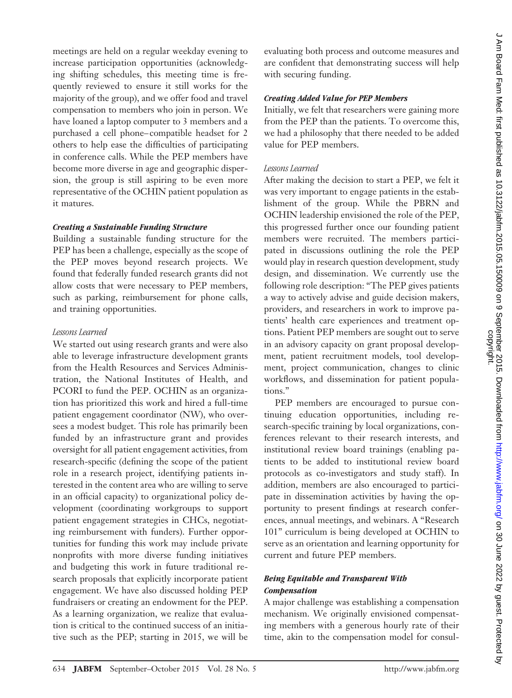meetings are held on a regular weekday evening to increase participation opportunities (acknowledging shifting schedules, this meeting time is frequently reviewed to ensure it still works for the majority of the group), and we offer food and travel compensation to members who join in person. We have loaned a laptop computer to 3 members and a purchased a cell phone– compatible headset for 2 others to help ease the difficulties of participating in conference calls. While the PEP members have become more diverse in age and geographic dispersion, the group is still aspiring to be even more representative of the OCHIN patient population as it matures.

## *Creating a Sustainable Funding Structure*

Building a sustainable funding structure for the PEP has been a challenge, especially as the scope of the PEP moves beyond research projects. We found that federally funded research grants did not allow costs that were necessary to PEP members, such as parking, reimbursement for phone calls, and training opportunities.

## *Lessons Learned*

We started out using research grants and were also able to leverage infrastructure development grants from the Health Resources and Services Administration, the National Institutes of Health, and PCORI to fund the PEP. OCHIN as an organization has prioritized this work and hired a full-time patient engagement coordinator (NW), who oversees a modest budget. This role has primarily been funded by an infrastructure grant and provides oversight for all patient engagement activities, from research-specific (defining the scope of the patient role in a research project, identifying patients interested in the content area who are willing to serve in an official capacity) to organizational policy development (coordinating workgroups to support patient engagement strategies in CHCs, negotiating reimbursement with funders). Further opportunities for funding this work may include private nonprofits with more diverse funding initiatives and budgeting this work in future traditional research proposals that explicitly incorporate patient engagement. We have also discussed holding PEP fundraisers or creating an endowment for the PEP. As a learning organization, we realize that evaluation is critical to the continued success of an initiative such as the PEP; starting in 2015, we will be

evaluating both process and outcome measures and are confident that demonstrating success will help with securing funding.

# *Creating Added Value for PEP Members*

Initially, we felt that researchers were gaining more from the PEP than the patients. To overcome this, we had a philosophy that there needed to be added value for PEP members.

# *Lessons Learned*

After making the decision to start a PEP, we felt it was very important to engage patients in the establishment of the group. While the PBRN and OCHIN leadership envisioned the role of the PEP, this progressed further once our founding patient members were recruited. The members participated in discussions outlining the role the PEP would play in research question development, study design, and dissemination. We currently use the following role description: "The PEP gives patients a way to actively advise and guide decision makers, providers, and researchers in work to improve patients' health care experiences and treatment options. Patient PEP members are sought out to serve in an advisory capacity on grant proposal development, patient recruitment models, tool development, project communication, changes to clinic workflows, and dissemination for patient populations."

PEP members are encouraged to pursue continuing education opportunities, including research-specific training by local organizations, conferences relevant to their research interests, and institutional review board trainings (enabling patients to be added to institutional review board protocols as co-investigators and study staff). In addition, members are also encouraged to participate in dissemination activities by having the opportunity to present findings at research conferences, annual meetings, and webinars. A "Research 101" curriculum is being developed at OCHIN to serve as an orientation and learning opportunity for current and future PEP members.

# *Being Equitable and Transparent With Compensation*

A major challenge was establishing a compensation mechanism. We originally envisioned compensating members with a generous hourly rate of their time, akin to the compensation model for consul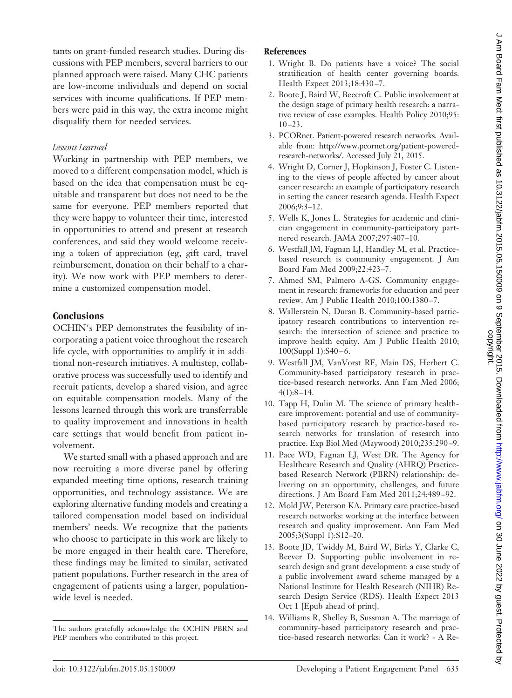tants on grant-funded research studies. During discussions with PEP members, several barriers to our planned approach were raised. Many CHC patients are low-income individuals and depend on social services with income qualifications. If PEP members were paid in this way, the extra income might disqualify them for needed services.

## *Lessons Learned*

Working in partnership with PEP members, we moved to a different compensation model, which is based on the idea that compensation must be equitable and transparent but does not need to be the same for everyone. PEP members reported that they were happy to volunteer their time, interested in opportunities to attend and present at research conferences, and said they would welcome receiving a token of appreciation (eg, gift card, travel reimbursement, donation on their behalf to a charity). We now work with PEP members to determine a customized compensation model.

# **Conclusions**

OCHIN's PEP demonstrates the feasibility of incorporating a patient voice throughout the research life cycle, with opportunities to amplify it in additional non-research initiatives. A multistep, collaborative process was successfully used to identify and recruit patients, develop a shared vision, and agree on equitable compensation models. Many of the lessons learned through this work are transferrable to quality improvement and innovations in health care settings that would benefit from patient involvement.

We started small with a phased approach and are now recruiting a more diverse panel by offering expanded meeting time options, research training opportunities, and technology assistance. We are exploring alternative funding models and creating a tailored compensation model based on individual members' needs. We recognize that the patients who choose to participate in this work are likely to be more engaged in their health care. Therefore, these findings may be limited to similar, activated patient populations. Further research in the area of engagement of patients using a larger, populationwide level is needed.

## **References**

- 1. Wright B. Do patients have a voice? The social stratification of health center governing boards. Health Expect 2013;18:430 –7.
- 2. Boote J, Baird W, Beecroft C. Public involvement at the design stage of primary health research: a narrative review of case examples. Health Policy 2010;95:  $10 - 23$ .
- 3. PCORnet. Patient-powered research networks. Available from: [http://www.pcornet.org/patient-powered](http://www.pcornet.org/patient-powered-research-networks/)[research-networks/.](http://www.pcornet.org/patient-powered-research-networks/) Accessed July 21, 2015.
- 4. Wright D, Corner J, Hopkinson J, Foster C. Listening to the views of people affected by cancer about cancer research: an example of participatory research in setting the cancer research agenda. Health Expect 2006;9:3–12.
- 5. Wells K, Jones L. Strategies for academic and clinician engagement in community-participatory partnered research. JAMA 2007;297:407–10.
- 6. Westfall JM, Fagnan LJ, Handley M, et al. Practicebased research is community engagement. J Am Board Fam Med 2009;22:423–7.
- 7. Ahmed SM, Palmero A-GS. Community engagement in research: frameworks for education and peer review. Am J Public Health 2010;100:1380 –7.
- 8. Wallerstein N, Duran B. Community-based participatory research contributions to intervention research: the intersection of science and practice to improve health equity. Am J Public Health 2010; 100(Suppl 1):S40 – 6.
- 9. Westfall JM, VanVorst RF, Main DS, Herbert C. Community-based participatory research in practice-based research networks. Ann Fam Med 2006;  $4(1):8 - 14.$
- 10. Tapp H, Dulin M. The science of primary healthcare improvement: potential and use of communitybased participatory research by practice-based research networks for translation of research into practice. Exp Biol Med (Maywood) 2010;235:290 –9.
- 11. Pace WD, Fagnan LJ, West DR. The Agency for Healthcare Research and Quality (AHRQ) Practicebased Research Network (PBRN) relationship: delivering on an opportunity, challenges, and future directions. J Am Board Fam Med 2011;24:489 –92.
- 12. Mold JW, Peterson KA. Primary care practice-based research networks: working at the interface between research and quality improvement. Ann Fam Med 2005;3(Suppl 1):S12–20.
- 13. Boote JD, Twiddy M, Baird W, Birks Y, Clarke C, Beever D. Supporting public involvement in research design and grant development: a case study of a public involvement award scheme managed by a National Institute for Health Research (NIHR) Research Design Service (RDS). Health Expect 2013 Oct 1 [Epub ahead of print].
- 14. Williams R, Shelley B, Sussman A. The marriage of community-based participatory research and practice-based research networks: Can it work? - A Re-

The authors gratefully acknowledge the OCHIN PBRN and PEP members who contributed to this project.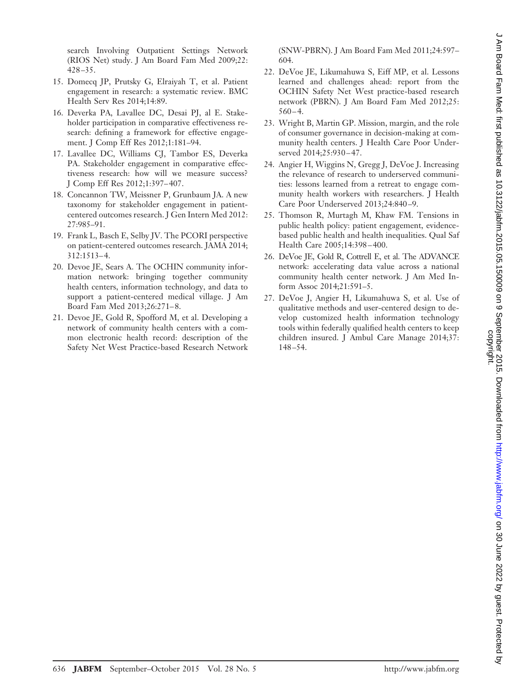search Involving Outpatient Settings Network (RIOS Net) study. J Am Board Fam Med 2009;22: 428 –35.

- 15. Domecq JP, Prutsky G, Elraiyah T, et al. Patient engagement in research: a systematic review. BMC Health Serv Res 2014;14:89.
- 16. Deverka PA, Lavallee DC, Desai PJ, al E. Stakeholder participation in comparative effectiveness research: defining a framework for effective engagement. J Comp Eff Res 2012;1:181–94.
- 17. Lavallee DC, Williams CJ, Tambor ES, Deverka PA. Stakeholder engagement in comparative effectiveness research: how will we measure success? J Comp Eff Res 2012;1:397– 407.
- 18. Concannon TW, Meissner P, Grunbaum JA. A new taxonomy for stakeholder engagement in patientcentered outcomes research. J Gen Intern Med 2012: 27:985–91.
- 19. Frank L, Basch E, Selby JV. The PCORI perspective on patient-centered outcomes research. JAMA 2014; 312:1513– 4.
- 20. Devoe JE, Sears A. The OCHIN community information network: bringing together community health centers, information technology, and data to support a patient-centered medical village. J Am Board Fam Med 2013;26:271-8.
- 21. Devoe JE, Gold R, Spofford M, et al. Developing a network of community health centers with a common electronic health record: description of the Safety Net West Practice-based Research Network

(SNW-PBRN). J Am Board Fam Med 2011;24:597– 604.

- 22. DeVoe JE, Likumahuwa S, Eiff MP, et al. Lessons learned and challenges ahead: report from the OCHIN Safety Net West practice-based research network (PBRN). J Am Board Fam Med 2012;25:  $560 - 4.$
- 23. Wright B, Martin GP. Mission, margin, and the role of consumer governance in decision-making at community health centers. J Health Care Poor Underserved 2014;25:930-47.
- 24. Angier H, Wiggins N, Gregg J, DeVoe J. Increasing the relevance of research to underserved communities: lessons learned from a retreat to engage community health workers with researchers. J Health Care Poor Underserved 2013;24:840 –9.
- 25. Thomson R, Murtagh M, Khaw FM. Tensions in public health policy: patient engagement, evidencebased public health and health inequalities. Qual Saf Health Care 2005;14:398 – 400.
- 26. DeVoe JE, Gold R, Cottrell E, et al. The ADVANCE network: accelerating data value across a national community health center network. J Am Med Inform Assoc 2014;21:591–5.
- 27. DeVoe J, Angier H, Likumahuwa S, et al. Use of qualitative methods and user-centered design to develop customized health information technology tools within federally qualified health centers to keep children insured. J Ambul Care Manage 2014;37: 148 –54.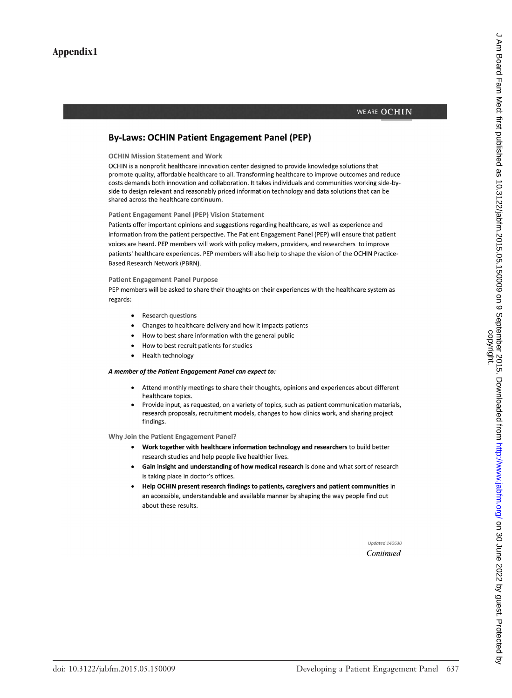### WE ARE OCHIN

# **By-Laws: OCHIN Patient Engagement Panel (PEP)**

#### **OCHIN Mission Statement and Work**

OCHIN is a nonprofit healthcare innovation center designed to provide knowledge solutions that promote quality, affordable healthcare to all. Transforming healthcare to improve outcomes and reduce costs demands both innovation and collaboration. It takes individuals and communities working side-byside to design relevant and reasonably priced information technology and data solutions that can be shared across the healthcare continuum.

#### **Patient Engagement Panel (PEP) Vision Statement**

Patients offer important opinions and suggestions regarding healthcare, as well as experience and information from the patient perspective. The Patient Engagement Panel (PEP) will ensure that patient voices are heard. PEP members will work with policy makers, providers, and researchers to improve patients' healthcare experiences. PEP members will also help to shape the vision of the OCHIN Practice-Based Research Network (PBRN).

#### **Patient Engagement Panel Purpose**

PEP members will be asked to share their thoughts on their experiences with the healthcare system as regards:

- Research questions  $\bullet$
- Changes to healthcare delivery and how it impacts patients
- How to best share information with the general public
- How to best recruit patients for studies
- Health technology  $\bullet$

#### A member of the Patient Engagement Panel can expect to:

- Attend monthly meetings to share their thoughts, opinions and experiences about different healthcare topics.
- Provide input, as requested, on a variety of topics, such as patient communication materials, research proposals, recruitment models, changes to how clinics work, and sharing project findings.

Why Join the Patient Engagement Panel?

- Work together with healthcare information technology and researchers to build better research studies and help people live healthier lives.
- Gain insight and understanding of how medical research is done and what sort of research is taking place in doctor's offices.
- Help OCHIN present research findings to patients, caregivers and patient communities in an accessible, understandable and available manner by shaping the way people find out about these results.

Undated 140630

Continued